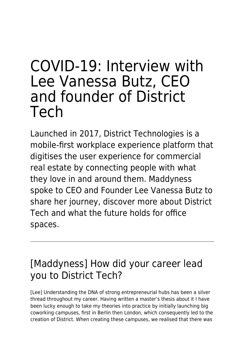# COVID-19: Interview with Lee Vanessa Butz, CEO and founder of District Tech

Launched in 2017, District Technologies is a mobile-first workplace experience platform that digitises the user experience for commercial real estate by connecting people with what they love in and around them. Maddyness spoke to CEO and Founder Lee Vanessa Butz to share her journey, discover more about District Tech and what the future holds for office spaces.

# [Maddyness] How did your career lead you to District Tech?

[Lee] Understanding the DNA of strong entrepreneurial hubs has been a silver thread throughout my career. Having written a master's thesis about it I have been lucky enough to take my theories into practice by initially launching big coworking campuses, first in Berlin then London, which consequently led to the creation of District. When creating these campuses, we realised that there was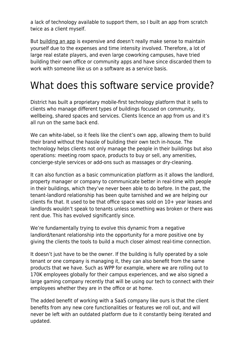a lack of technology available to support them, so I built an app from scratch twice as a client myself.

But [building an app](https://www.maddyness.com/uk/2020/01/29/how-to-launch-a-mobile-app-successfully/) is expensive and doesn't really make sense to maintain yourself due to the expenses and time intensity involved. Therefore, a lot of large real estate players, and even large coworking campuses, have tried building their own office or community apps and have since discarded them to work with someone like us on a software as a service basis.

### What does this software service provide?

District has built a proprietary mobile-first technology platform that it sells to clients who manage different types of buildings focused on community, wellbeing, shared spaces and services. Clients licence an app from us and it's all run on the same back end.

We can white-label, so it feels like the client's own app, allowing them to build their brand without the hassle of building their own tech in-house. The technology helps clients not only manage the people in their buildings but also operations: meeting room space, products to buy or sell, any amenities, concierge-style services or add-ons such as massages or dry-cleaning.

It can also function as a basic communication platform as it allows the landlord, property manager or company to communicate better in real-time with people in their buildings, which they've never been able to do before. In the past, the tenant-landlord relationship has been quite tarnished and we are helping our clients fix that. It used to be that office space was sold on 10+ year leases and landlords wouldn't speak to tenants unless something was broken or there was rent due. This has evolved significantly since.

We're fundamentally trying to evolve this dynamic from a negative landlord/tenant relationship into the opportunity for a more positive one by giving the clients the tools to build a much closer almost real-time connection.

It doesn't just have to be the owner. If the building is fully operated by a sole tenant or one company is managing it, they can also benefit from the same products that we have. Such as WPP for example, where we are rolling out to 170K employees globally for their campus experiences, and we also signed a large gaming company recently that will be using our tech to connect with their employees whether they are in the office or at home.

The added benefit of working with a SaaS company like ours is that the client benefits from any new core functionalities or features we roll out, and will never be left with an outdated platform due to it constantly being iterated and updated.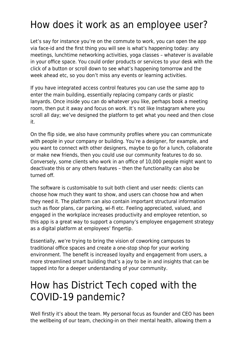# How does it work as an employee user?

Let's say for instance you're on the commute to work, you can open the app via face-id and the first thing you will see is what's happening today: any meetings, lunchtime networking activities, yoga classes – whatever is available in your office space. You could order products or services to your desk with the click of a button or scroll down to see what's happening tomorrow and the week ahead etc, so you don't miss any events or learning activities.

If you have integrated access control features you can use the same app to enter the main building, essentially replacing company cards or plastic lanyards. Once inside you can do whatever you like, perhaps book a meeting room, then put it away and focus on work. It's not like Instagram where you scroll all day; we've designed the platform to get what you need and then close it.

On the flip side, we also have community profiles where you can communicate with people in your company or building. You're a designer, for example, and you want to connect with other designers, maybe to go for a lunch, collaborate or make new friends, then you could use our community features to do so. Conversely, some clients who work in an office of 10,000 people might want to deactivate this or any others features – then the functionality can also be turned off.

The software is customisable to suit both client and user needs: clients can choose how much they want to show, and users can choose how and when they need it. The platform can also contain important structural information such as floor plans, car parking, wi-fi etc. Feeling appreciated, valued, and engaged in the workplace increases productivity and employee retention, so this app is a great way to support a company's employee engagement strategy as a digital platform at employees' fingertip.

Essentially, we're trying to bring the vision of coworking campuses to traditional office spaces and create a one-stop shop for your working environment. The benefit is increased loyalty and engagement from users, a more streamlined smart building that's a joy to be in and insights that can be tapped into for a deeper understanding of your community.

## How has District Tech coped with the COVID-19 pandemic?

Well firstly it's about the team. My personal focus as founder and CEO has been the wellbeing of our team, checking-in on their mental health, allowing them a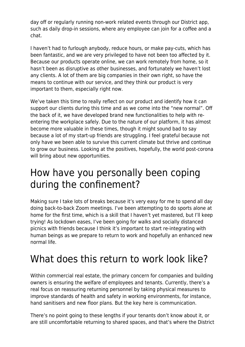day off or regularly running non-work related events through our District app, such as daily drop-in sessions, where any employee can join for a coffee and a chat.

I haven't had to furlough anybody, reduce hours, or make pay-cuts, which has been fantastic, and we are very privileged to have not been too affected by it. Because our products operate online, we can work remotely from home, so it hasn't been as disruptive as other businesses, and fortunately we haven't lost any clients. A lot of them are big companies in their own right, so have the means to continue with our service, and they think our product is very important to them, especially right now.

We've taken this time to really reflect on our product and identify how it can support our clients during this time and as we come into the "new normal". Off the back of it, we have developed brand new functionalities to help with reentering the workplace safely. Due to the nature of our platform, it has almost become more valuable in these times, though it might sound bad to say because a lot of my start-up friends are struggling. I feel grateful because not only have we been able to survive this current climate but thrive and continue to grow our business. Looking at the positives, hopefully, the world post-corona will bring about new opportunities.

#### How have you personally been coping during the confinement?

Making sure I take lots of breaks because it's very easy for me to spend all day doing back-to-back Zoom meetings. I've been attempting to do sports alone at home for the first time, which is a skill that I haven't yet mastered, but I'll keep trying! As lockdown eases, I've been going for walks and socially distanced picnics with friends because I think it's important to start re-integrating with human beings as we prepare to return to work and hopefully an enhanced new normal life.

# What does this return to work look like?

Within commercial real estate, the primary concern for companies and building owners is ensuring the welfare of employees and tenants. Currently, there's a real focus on reassuring returning personnel by taking physical measures to improve standards of health and safety in working environments, for instance, hand sanitisers and new floor plans. But the key here is communication.

There's no point going to these lengths if your tenants don't know about it, or are still uncomfortable returning to shared spaces, and that's where the District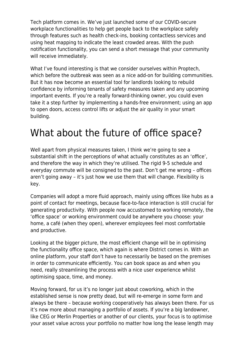Tech platform comes in. We've just launched some of our COVID-secure workplace functionalities to help get people back to the workplace safely through features such as health check-ins, booking contactless services and using heat mapping to indicate the least crowded areas. With the push notification functionality, you can send a short message that your community will receive immediately.

What I've found interesting is that we consider ourselves within Proptech, which before the outbreak was seen as a nice add-on for building communities. But it has now become an essential tool for landlords looking to rebuild confidence by informing tenants of safety measures taken and any upcoming important events. If you're a really forward-thinking owner, you could even take it a step further by implementing a hands-free environment; using an app to open doors, access control lifts or adjust the air quality in your smart building.

#### What about the future of office space?

Well apart from physical measures taken, I think we're going to see a substantial shift in the perceptions of what actually constitutes as an 'office', and therefore the way in which they're utilised. The rigid 9-5 schedule and everyday commute will be consigned to the past. Don't get me wrong – offices aren't going away – it's just how we use them that will change. Flexibility is key.

Companies will adopt a more fluid approach, mainly using offices like hubs as a point of contact for meetings, because face-to-face interaction is still crucial for generating productivity. With people now accustomed to working remotely, the 'office space' or working environment could be anywhere you choose: your home, a café (when they open), wherever employees feel most comfortable and productive.

Looking at the bigger picture, the most efficient change will be in optimising the functionality office space, which again is where District comes in. With an online platform, your staff don't have to necessarily be based on the premises in order to communicate efficiently. You can book space as and when you need, really streamlining the process with a nice user experience whilst optimising space, time, and money.

Moving forward, for us it's no longer just about coworking, which in the established sense is now pretty dead, but will re-emerge in some form and always be there – because working cooperatively has always been there. For us it's now more about managing a portfolio of assets. If you're a big landowner, like CEG or Merlin Properties or another of our clients, your focus is to optimise your asset value across your portfolio no matter how long the lease length may